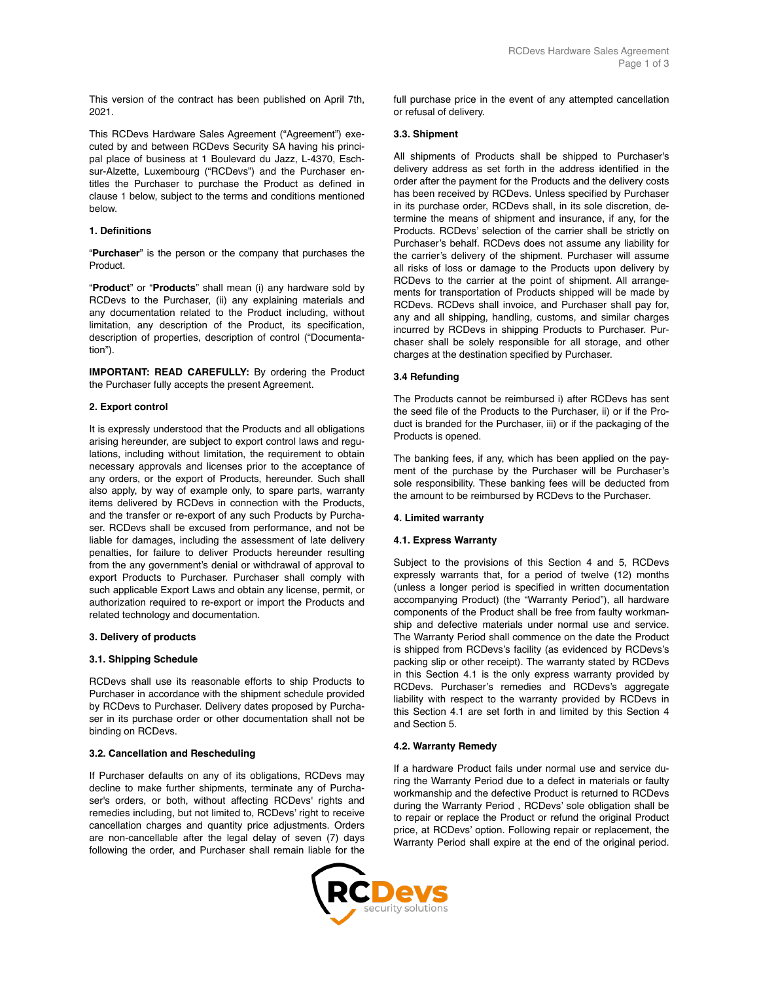This version of the contract has been published on April 7th, 2021.

This RCDevs Hardware Sales Agreement ("Agreement") executed by and between RCDevs Security SA having his principal place of business at 1 Boulevard du Jazz, L-4370, Eschsur-Alzette, Luxembourg ("RCDevs") and the Purchaser entitles the Purchaser to purchase the Product as defined in clause 1 below, subject to the terms and conditions mentioned below.

## **1. Definitions**

"**Purchaser**" is the person or the company that purchases the Product.

"**Product**" or "**Products**" shall mean (i) any hardware sold by RCDevs to the Purchaser, (ii) any explaining materials and any documentation related to the Product including, without limitation, any description of the Product, its specification, description of properties, description of control ("Documentation").

**IMPORTANT: READ CAREFULLY:** By ordering the Product the Purchaser fully accepts the present Agreement.

### **2. Export control**

It is expressly understood that the Products and all obligations arising hereunder, are subject to export control laws and regulations, including without limitation, the requirement to obtain necessary approvals and licenses prior to the acceptance of any orders, or the export of Products, hereunder. Such shall also apply, by way of example only, to spare parts, warranty items delivered by RCDevs in connection with the Products, and the transfer or re‑export of any such Products by Purchaser. RCDevs shall be excused from performance, and not be liable for damages, including the assessment of late delivery penalties, for failure to deliver Products hereunder resulting from the any government's denial or withdrawal of approval to export Products to Purchaser. Purchaser shall comply with such applicable Export Laws and obtain any license, permit, or authorization required to re-export or import the Products and related technology and documentation.

### **3. Delivery of products**

# **3.1. Shipping Schedule**

RCDevs shall use its reasonable efforts to ship Products to Purchaser in accordance with the shipment schedule provided by RCDevs to Purchaser. Delivery dates proposed by Purchaser in its purchase order or other documentation shall not be binding on RCDevs.

### **3.2. Cancellation and Rescheduling**

If Purchaser defaults on any of its obligations, RCDevs may decline to make further shipments, terminate any of Purchaser's orders, or both, without affecting RCDevs' rights and remedies including, but not limited to, RCDevs' right to receive cancellation charges and quantity price adjustments. Orders are non-cancellable after the legal delay of seven (7) days following the order, and Purchaser shall remain liable for the

full purchase price in the event of any attempted cancellation or refusal of delivery.

### **3.3. Shipment**

All shipments of Products shall be shipped to Purchaser's delivery address as set forth in the address identified in the order after the payment for the Products and the delivery costs has been received by RCDevs. Unless specified by Purchaser in its purchase order, RCDevs shall, in its sole discretion, determine the means of shipment and insurance, if any, for the Products. RCDevs' selection of the carrier shall be strictly on Purchaser's behalf. RCDevs does not assume any liability for the carrier's delivery of the shipment. Purchaser will assume all risks of loss or damage to the Products upon delivery by RCDevs to the carrier at the point of shipment. All arrangements for transportation of Products shipped will be made by RCDevs. RCDevs shall invoice, and Purchaser shall pay for, any and all shipping, handling, customs, and similar charges incurred by RCDevs in shipping Products to Purchaser. Purchaser shall be solely responsible for all storage, and other charges at the destination specified by Purchaser.

### **3.4 Refunding**

The Products cannot be reimbursed i) after RCDevs has sent the seed file of the Products to the Purchaser, ii) or if the Product is branded for the Purchaser, iii) or if the packaging of the Products is opened.

The banking fees, if any, which has been applied on the payment of the purchase by the Purchaser will be Purchaser's sole responsibility. These banking fees will be deducted from the amount to be reimbursed by RCDevs to the Purchaser.

### **4. Limited warranty**

### **4.1. Express Warranty**

Subject to the provisions of this Section 4 and 5, RCDevs expressly warrants that, for a period of twelve (12) months (unless a longer period is specified in written documentation accompanying Product) (the "Warranty Period"), all hardware components of the Product shall be free from faulty workmanship and defective materials under normal use and service. The Warranty Period shall commence on the date the Product is shipped from RCDevs's facility (as evidenced by RCDevs's packing slip or other receipt). The warranty stated by RCDevs in this Section 4.1 is the only express warranty provided by RCDevs. Purchaser's remedies and RCDevs's aggregate liability with respect to the warranty provided by RCDevs in this Section 4.1 are set forth in and limited by this Section 4 and Section 5.

### **4.2. Warranty Remedy**

If a hardware Product fails under normal use and service during the Warranty Period due to a defect in materials or faulty workmanship and the defective Product is returned to RCDevs during the Warranty Period , RCDevs' sole obligation shall be to repair or replace the Product or refund the original Product price, at RCDevs' option. Following repair or replacement, the Warranty Period shall expire at the end of the original period.

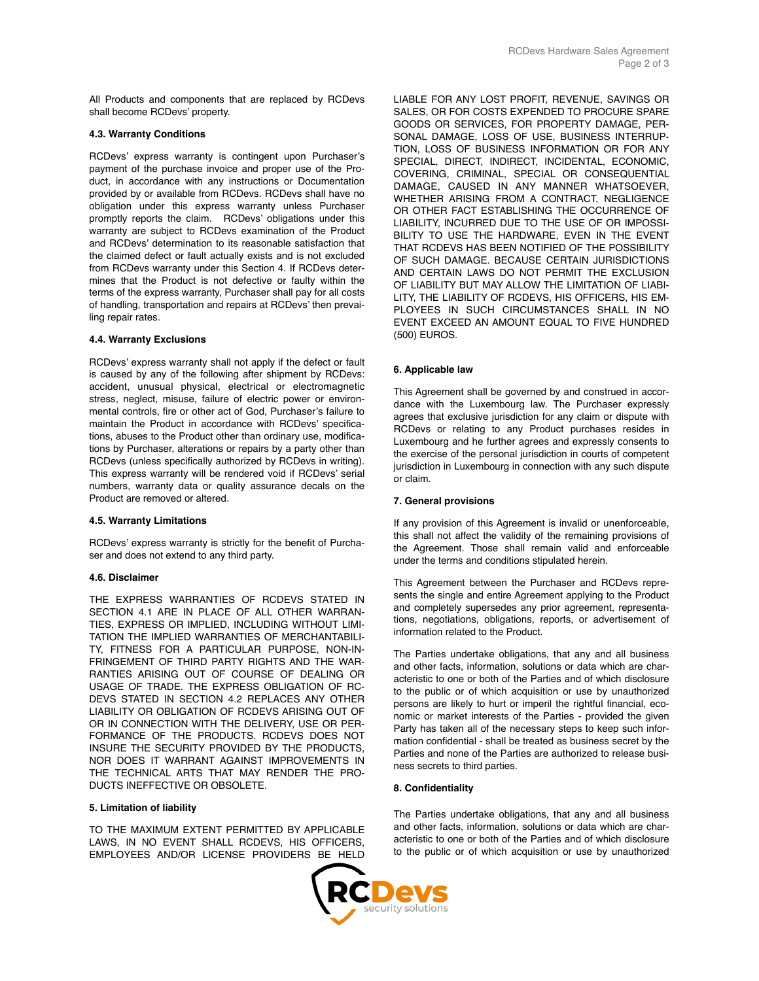All Products and components that are replaced by RCDevs shall become RCDevs' property.

### **4.3. Warranty Conditions**

RCDevs' express warranty is contingent upon Purchaser's payment of the purchase invoice and proper use of the Product, in accordance with any instructions or Documentation provided by or available from RCDevs. RCDevs shall have no obligation under this express warranty unless Purchaser promptly reports the claim. RCDevs' obligations under this warranty are subject to RCDevs examination of the Product and RCDevs' determination to its reasonable satisfaction that the claimed defect or fault actually exists and is not excluded from RCDevs warranty under this Section 4. If RCDevs determines that the Product is not defective or faulty within the terms of the express warranty, Purchaser shall pay for all costs of handling, transportation and repairs at RCDevs' then prevailing repair rates.

## **4.4. Warranty Exclusions**

RCDevs' express warranty shall not apply if the defect or fault is caused by any of the following after shipment by RCDevs: accident, unusual physical, electrical or electromagnetic stress, neglect, misuse, failure of electric power or environmental controls, fire or other act of God, Purchaser's failure to maintain the Product in accordance with RCDevs' specifications, abuses to the Product other than ordinary use, modifications by Purchaser, alterations or repairs by a party other than RCDevs (unless specifically authorized by RCDevs in writing). This express warranty will be rendered void if RCDevs' serial numbers, warranty data or quality assurance decals on the Product are removed or altered.

### **4.5. Warranty Limitations**

RCDevs' express warranty is strictly for the benefit of Purchaser and does not extend to any third party.

### **4.6. Disclaimer**

THE EXPRESS WARRANTIES OF RCDEVS STATED IN SECTION 4.1 ARE IN PLACE OF ALL OTHER WARRAN-TIES, EXPRESS OR IMPLIED, INCLUDING WITHOUT LIMI-TATION THE IMPLIED WARRANTIES OF MERCHANTABILI-TY, FITNESS FOR A PARTICULAR PURPOSE, NON-IN-FRINGEMENT OF THIRD PARTY RIGHTS AND THE WAR-RANTIES ARISING OUT OF COURSE OF DEALING OR USAGE OF TRADE. THE EXPRESS OBLIGATION OF RC-DEVS STATED IN SECTION 4.2 REPLACES ANY OTHER LIABILITY OR OBLIGATION OF RCDEVS ARISING OUT OF OR IN CONNECTION WITH THE DELIVERY, USE OR PER-FORMANCE OF THE PRODUCTS. RCDEVS DOES NOT INSURE THE SECURITY PROVIDED BY THE PRODUCTS, NOR DOES IT WARRANT AGAINST IMPROVEMENTS IN THE TECHNICAL ARTS THAT MAY RENDER THE PRO-DUCTS INEFFECTIVE OR OBSOLETE.

### **5. Limitation of liability**

TO THE MAXIMUM EXTENT PERMITTED BY APPLICABLE LAWS, IN NO EVENT SHALL RCDEVS, HIS OFFICERS, EMPLOYEES AND/OR LICENSE PROVIDERS BE HELD LIABLE FOR ANY LOST PROFIT, REVENUE, SAVINGS OR SALES, OR FOR COSTS EXPENDED TO PROCURE SPARE GOODS OR SERVICES, FOR PROPERTY DAMAGE, PER-SONAL DAMAGE, LOSS OF USE, BUSINESS INTERRUP-TION, LOSS OF BUSINESS INFORMATION OR FOR ANY SPECIAL, DIRECT, INDIRECT, INCIDENTAL, ECONOMIC, COVERING, CRIMINAL, SPECIAL OR CONSEQUENTIAL DAMAGE, CAUSED IN ANY MANNER WHATSOEVER, WHETHER ARISING FROM A CONTRACT, NEGLIGENCE OR OTHER FACT ESTABLISHING THE OCCURRENCE OF LIABILITY, INCURRED DUE TO THE USE OF OR IMPOSSI-BILITY TO USE THE HARDWARE, EVEN IN THE EVENT THAT RCDEVS HAS BEEN NOTIFIED OF THE POSSIBILITY OF SUCH DAMAGE. BECAUSE CERTAIN JURISDICTIONS AND CERTAIN LAWS DO NOT PERMIT THE EXCLUSION OF LIABILITY BUT MAY ALLOW THE LIMITATION OF LIABI-LITY, THE LIABILITY OF RCDEVS, HIS OFFICERS, HIS EM-PLOYEES IN SUCH CIRCUMSTANCES SHALL IN NO EVENT EXCEED AN AMOUNT EQUAL TO FIVE HUNDRED (500) EUROS.

### **6. Applicable law**

This Agreement shall be governed by and construed in accordance with the Luxembourg law. The Purchaser expressly agrees that exclusive jurisdiction for any claim or dispute with RCDevs or relating to any Product purchases resides in Luxembourg and he further agrees and expressly consents to the exercise of the personal jurisdiction in courts of competent jurisdiction in Luxembourg in connection with any such dispute or claim.

# **7. General provisions**

If any provision of this Agreement is invalid or unenforceable, this shall not affect the validity of the remaining provisions of the Agreement. Those shall remain valid and enforceable under the terms and conditions stipulated herein.

This Agreement between the Purchaser and RCDevs represents the single and entire Agreement applying to the Product and completely supersedes any prior agreement, representations, negotiations, obligations, reports, or advertisement of information related to the Product.

The Parties undertake obligations, that any and all business and other facts, information, solutions or data which are characteristic to one or both of the Parties and of which disclosure to the public or of which acquisition or use by unauthorized persons are likely to hurt or imperil the rightful financial, economic or market interests of the Parties - provided the given Party has taken all of the necessary steps to keep such information confidential - shall be treated as business secret by the Parties and none of the Parties are authorized to release business secrets to third parties.

### **8. Confidentiality**

The Parties undertake obligations, that any and all business and other facts, information, solutions or data which are characteristic to one or both of the Parties and of which disclosure to the public or of which acquisition or use by unauthorized